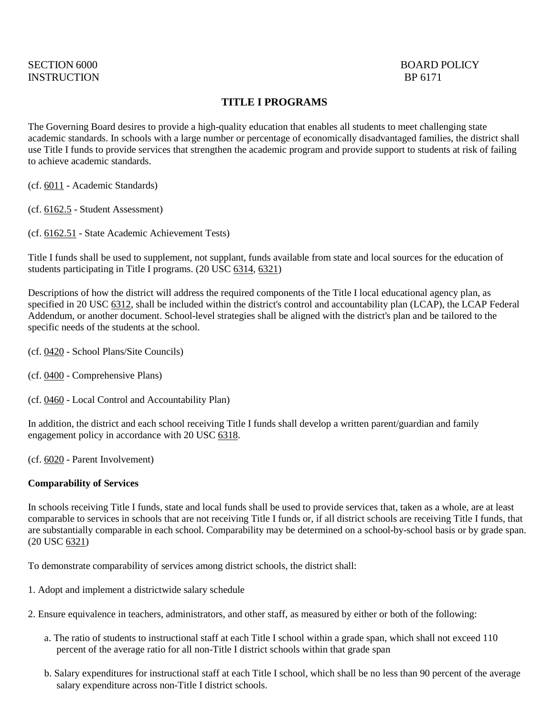# INSTRUCTION BP 6171

## SECTION 6000 BOARD POLICY

### **TITLE I PROGRAMS**

The Governing Board desires to provide a high-quality education that enables all students to meet challenging state academic standards. In schools with a large number or percentage of economically disadvantaged families, the district shall use Title I funds to provide services that strengthen the academic program and provide support to students at risk of failing to achieve academic standards.

- (cf. [6011](http://gamutonline.net/displayPolicy/211099/6) Academic Standards)
- (cf. [6162.5](http://gamutonline.net/displayPolicy/909494/6) Student Assessment)
- (cf. [6162.51](http://gamutonline.net/displayPolicy/352670/6) State Academic Achievement Tests)

Title I funds shall be used to supplement, not supplant, funds available from state and local sources for the education of students participating in Title I programs. (20 USC [6314,](http://gamutonline.net/displayPolicy/302980/6) [6321\)](http://gamutonline.net/displayPolicy/302987/6)

Descriptions of how the district will address the required components of the Title I local educational agency plan, as specified in 20 USC [6312,](http://gamutonline.net/displayPolicy/190143/6) shall be included within the district's control and accountability plan (LCAP), the LCAP Federal Addendum, or another document. School-level strategies shall be aligned with the district's plan and be tailored to the specific needs of the students at the school.

- (cf. [0420](http://gamutonline.net/displayPolicy/1002197/6) School Plans/Site Councils)
- (cf. [0400](http://gamutonline.net/displayPolicy/171518/6) Comprehensive Plans)
- (cf. [0460](http://gamutonline.net/displayPolicy/857369/6) Local Control and Accountability Plan)

In addition, the district and each school receiving Title I funds shall develop a written parent/guardian and family engagement policy in accordance with 20 USC [6318.](http://gamutonline.net/displayPolicy/302984/6)

(cf. [6020](http://gamutonline.net/displayPolicy/171184/6) - Parent Involvement)

#### **Comparability of Services**

In schools receiving Title I funds, state and local funds shall be used to provide services that, taken as a whole, are at least comparable to services in schools that are not receiving Title I funds or, if all district schools are receiving Title I funds, that are substantially comparable in each school. Comparability may be determined on a school-by-school basis or by grade span. (20 USC [6321\)](http://gamutonline.net/displayPolicy/302987/6)

To demonstrate comparability of services among district schools, the district shall:

- 1. Adopt and implement a districtwide salary schedule
- 2. Ensure equivalence in teachers, administrators, and other staff, as measured by either or both of the following:
	- a. The ratio of students to instructional staff at each Title I school within a grade span, which shall not exceed 110 percent of the average ratio for all non-Title I district schools within that grade span
	- b. Salary expenditures for instructional staff at each Title I school, which shall be no less than 90 percent of the average salary expenditure across non-Title I district schools.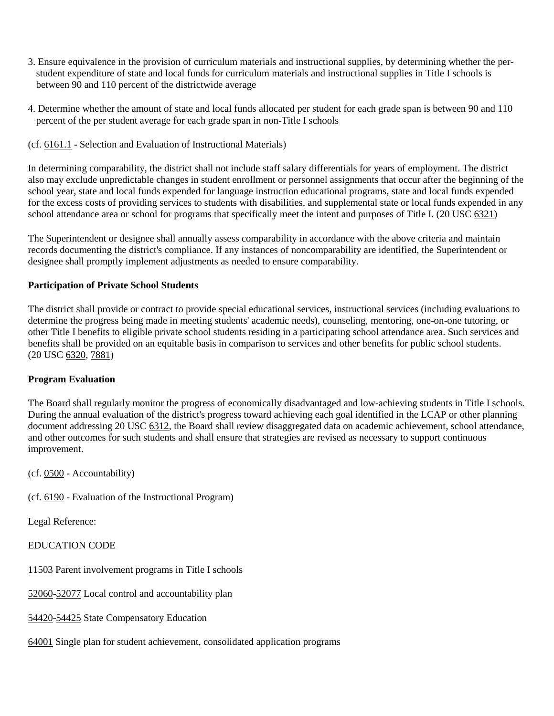- 3. Ensure equivalence in the provision of curriculum materials and instructional supplies, by determining whether the perstudent expenditure of state and local funds for curriculum materials and instructional supplies in Title I schools is between 90 and 110 percent of the districtwide average
- 4. Determine whether the amount of state and local funds allocated per student for each grade span is between 90 and 110 percent of the per student average for each grade span in non-Title I schools
- (cf. [6161.1](http://gamutonline.net/displayPolicy/931151/6) Selection and Evaluation of Instructional Materials)

In determining comparability, the district shall not include staff salary differentials for years of employment. The district also may exclude unpredictable changes in student enrollment or personnel assignments that occur after the beginning of the school year, state and local funds expended for language instruction educational programs, state and local funds expended for the excess costs of providing services to students with disabilities, and supplemental state or local funds expended in any school attendance area or school for programs that specifically meet the intent and purposes of Title I. (20 USC [6321\)](http://gamutonline.net/displayPolicy/302987/6)

The Superintendent or designee shall annually assess comparability in accordance with the above criteria and maintain records documenting the district's compliance. If any instances of noncomparability are identified, the Superintendent or designee shall promptly implement adjustments as needed to ensure comparability.

#### **Participation of Private School Students**

The district shall provide or contract to provide special educational services, instructional services (including evaluations to determine the progress being made in meeting students' academic needs), counseling, mentoring, one-on-one tutoring, or other Title I benefits to eligible private school students residing in a participating school attendance area. Such services and benefits shall be provided on an equitable basis in comparison to services and other benefits for public school students. (20 USC [6320,](http://gamutonline.net/displayPolicy/302986/6) [7881\)](http://gamutonline.net/displayPolicy/302812/6)

#### **Program Evaluation**

The Board shall regularly monitor the progress of economically disadvantaged and low-achieving students in Title I schools. During the annual evaluation of the district's progress toward achieving each goal identified in the LCAP or other planning document addressing 20 USC [6312,](http://gamutonline.net/displayPolicy/190143/6) the Board shall review disaggregated data on academic achievement, school attendance, and other outcomes for such students and shall ensure that strategies are revised as necessary to support continuous improvement.

(cf. [0500](http://gamutonline.net/displayPolicy/171712/6) - Accountability)

(cf. [6190](http://gamutonline.net/displayPolicy/259635/6) - Evaluation of the Instructional Program)

Legal Reference:

EDUCATION CODE

[11503](http://gamutonline.net/displayPolicy/129642/6) Parent involvement programs in Title I schools

[52060-](http://gamutonline.net/displayPolicy/1007011/6)[52077](http://gamutonline.net/displayPolicy/899537/6) Local control and accountability plan

[54420-](http://gamutonline.net/displayPolicy/133249/6)[54425](http://gamutonline.net/displayPolicy/133253/6) State Compensatory Education

[64001](http://gamutonline.net/displayPolicy/133933/6) Single plan for student achievement, consolidated application programs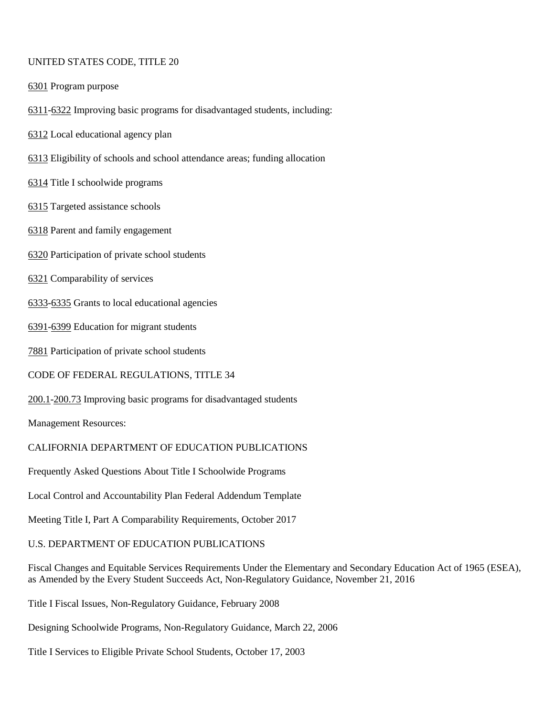#### UNITED STATES CODE, TITLE 20

[6301](http://gamutonline.net/displayPolicy/302900/6) Program purpose

- [6311](http://gamutonline.net/displayPolicy/303162/6)[-6322](http://gamutonline.net/displayPolicy/302988/6) Improving basic programs for disadvantaged students, including:
- [6312](http://gamutonline.net/displayPolicy/190143/6) Local educational agency plan
- [6313](http://gamutonline.net/displayPolicy/190144/6) Eligibility of schools and school attendance areas; funding allocation
- [6314](http://gamutonline.net/displayPolicy/302980/6) Title I schoolwide programs
- [6315](http://gamutonline.net/displayPolicy/302981/6) Targeted assistance schools
- [6318](http://gamutonline.net/displayPolicy/302984/6) Parent and family engagement
- [6320](http://gamutonline.net/displayPolicy/302986/6) Participation of private school students
- [6321](http://gamutonline.net/displayPolicy/302987/6) Comparability of services
- [6333](http://gamutonline.net/displayPolicy/302991/6)[-6335](http://gamutonline.net/displayPolicy/302993/6) Grants to local educational agencies
- [6391](http://gamutonline.net/displayPolicy/303161/6)[-6399](http://gamutonline.net/displayPolicy/303004/6) Education for migrant students
- [7881](http://gamutonline.net/displayPolicy/302812/6) Participation of private school students
- CODE OF FEDERAL REGULATIONS, TITLE 34
- [200.1](http://gamutonline.net/displayPolicy/191176/6)[-200.73](http://gamutonline.net/displayPolicy/292631/6) Improving basic programs for disadvantaged students

Management Resources:

#### CALIFORNIA DEPARTMENT OF EDUCATION PUBLICATIONS

Frequently Asked Questions About Title I Schoolwide Programs

Local Control and Accountability Plan Federal Addendum Template

Meeting Title I, Part A Comparability Requirements, October 2017

#### U.S. DEPARTMENT OF EDUCATION PUBLICATIONS

Fiscal Changes and Equitable Services Requirements Under the Elementary and Secondary Education Act of 1965 (ESEA), as Amended by the Every Student Succeeds Act, Non-Regulatory Guidance, November 21, 2016

Title I Fiscal Issues, Non-Regulatory Guidance, February 2008

Designing Schoolwide Programs, Non-Regulatory Guidance, March 22, 2006

Title I Services to Eligible Private School Students, October 17, 2003